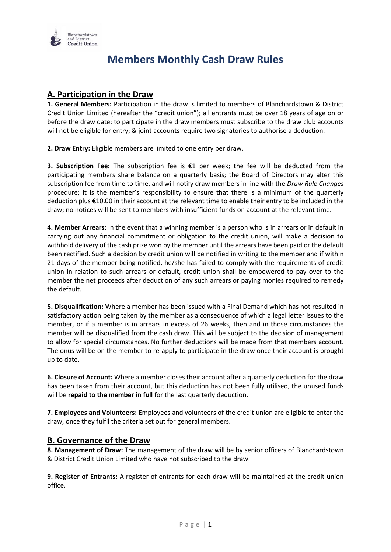

## **Members Monthly Cash Draw Rules**

## **A. Participation in the Draw**

**1. General Members:** Participation in the draw is limited to members of Blanchardstown & District Credit Union Limited (hereafter the "credit union"); all entrants must be over 18 years of age on or before the draw date; to participate in the draw members must subscribe to the draw club accounts will not be eligible for entry; & joint accounts require two signatories to authorise a deduction.

**2. Draw Entry:** Eligible members are limited to one entry per draw.

**3. Subscription Fee:** The subscription fee is €1 per week; the fee will be deducted from the participating members share balance on a quarterly basis; the Board of Directors may alter this subscription fee from time to time, and will notify draw members in line with the *Draw Rule Changes*  procedure; it is the member's responsibility to ensure that there is a minimum of the quarterly deduction plus €10.00 in their account at the relevant time to enable their entry to be included in the draw; no notices will be sent to members with insufficient funds on account at the relevant time.

**4. Member Arrears:** In the event that a winning member is a person who is in arrears or in default in carrying out any financial commitment or obligation to the credit union, will make a decision to withhold delivery of the cash prize won by the member until the arrears have been paid or the default been rectified. Such a decision by credit union will be notified in writing to the member and if within 21 days of the member being notified, he/she has failed to comply with the requirements of credit union in relation to such arrears or default, credit union shall be empowered to pay over to the member the net proceeds after deduction of any such arrears or paying monies required to remedy the default.

**5. Disqualification:** Where a member has been issued with a Final Demand which has not resulted in satisfactory action being taken by the member as a consequence of which a legal letter issues to the member, or if a member is in arrears in excess of 26 weeks, then and in those circumstances the member will be disqualified from the cash draw. This will be subject to the decision of management to allow for special circumstances. No further deductions will be made from that members account. The onus will be on the member to re-apply to participate in the draw once their account is brought up to date.

**6. Closure of Account:** Where a member closes their account after a quarterly deduction for the draw has been taken from their account, but this deduction has not been fully utilised, the unused funds will be **repaid to the member in full** for the last quarterly deduction.

**7. Employees and Volunteers:** Employees and volunteers of the credit union are eligible to enter the draw, once they fulfil the criteria set out for general members.

## **B. Governance of the Draw**

**8. Management of Draw:** The management of the draw will be by senior officers of Blanchardstown & District Credit Union Limited who have not subscribed to the draw.

**9. Register of Entrants:** A register of entrants for each draw will be maintained at the credit union office.